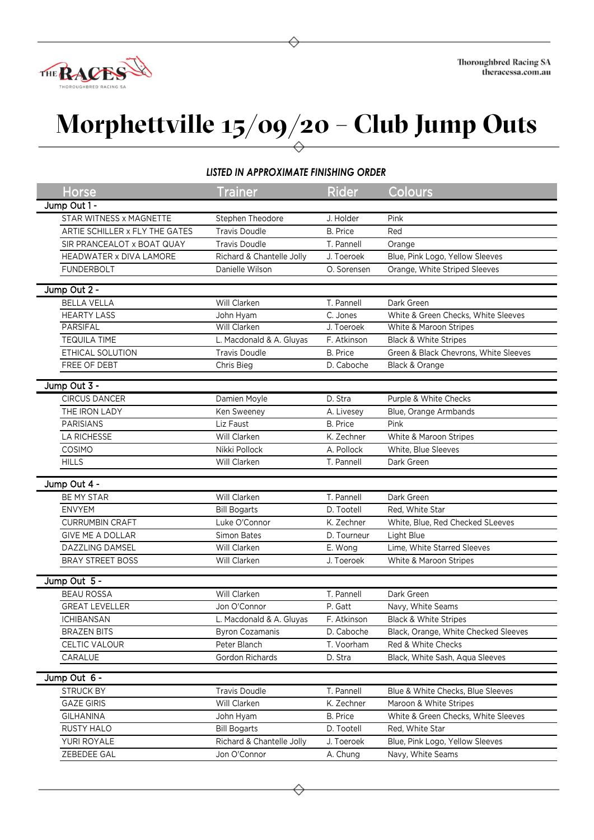

## **Morphettville 15/09/20 – Club Jump Outs**

## *LISTED IN APPROXIMATE FINISHING ORDER*

| Horse                          | <b>Trainer</b>            | <b>Rider</b>    | Colours                               |
|--------------------------------|---------------------------|-----------------|---------------------------------------|
| Jump Out 1 -                   |                           |                 |                                       |
| STAR WITNESS x MAGNETTE        | Stephen Theodore          | J. Holder       | Pink                                  |
| ARTIE SCHILLER x FLY THE GATES | <b>Travis Doudle</b>      | B. Price        | Red                                   |
| SIR PRANCEALOT x BOAT QUAY     | <b>Travis Doudle</b>      | T. Pannell      | Orange                                |
| HEADWATER x DIVA LAMORE        | Richard & Chantelle Jolly | J. Toeroek      | Blue, Pink Logo, Yellow Sleeves       |
| <b>FUNDERBOLT</b>              | Danielle Wilson           | O. Sorensen     | Orange, White Striped Sleeves         |
|                                |                           |                 |                                       |
| Jump Out 2 -                   |                           |                 |                                       |
| <b>BELLA VELLA</b>             | Will Clarken              | T. Pannell      | Dark Green                            |
| <b>HEARTY LASS</b>             | John Hyam                 | C. Jones        | White & Green Checks, White Sleeves   |
| PARSIFAL                       | Will Clarken              | J. Toeroek      | White & Maroon Stripes                |
| <b>TEQUILA TIME</b>            | L. Macdonald & A. Gluyas  | F. Atkinson     | <b>Black &amp; White Stripes</b>      |
| ETHICAL SOLUTION               | <b>Travis Doudle</b>      | <b>B.</b> Price | Green & Black Chevrons, White Sleeves |
| FREE OF DEBT                   | Chris Bieg                | D. Caboche      | Black & Orange                        |
| Jump Out 3 -                   |                           |                 |                                       |
| <b>CIRCUS DANCER</b>           | Damien Moyle              | D. Stra         | Purple & White Checks                 |
| THE IRON LADY                  | Ken Sweeney               | A. Livesey      | Blue, Orange Armbands                 |
| <b>PARISIANS</b>               | Liz Faust                 | <b>B.</b> Price | Pink                                  |
| <b>LA RICHESSE</b>             | Will Clarken              | K. Zechner      | White & Maroon Stripes                |
| COSIMO                         | Nikki Pollock             | A. Pollock      | White, Blue Sleeves                   |
| <b>HILLS</b>                   | Will Clarken              | T. Pannell      | Dark Green                            |
|                                |                           |                 |                                       |
| Jump Out 4 -                   |                           |                 |                                       |
| BE MY STAR                     | Will Clarken              | T. Pannell      | Dark Green                            |
| <b>ENVYEM</b>                  | <b>Bill Bogarts</b>       | D. Tootell      | Red, White Star                       |
| <b>CURRUMBIN CRAFT</b>         | Luke O'Connor             | K. Zechner      | White, Blue, Red Checked SLeeves      |
| <b>GIVE ME A DOLLAR</b>        | <b>Simon Bates</b>        | D. Tourneur     | Light Blue                            |
| DAZZLING DAMSEL                | Will Clarken              | E. Wong         | Lime, White Starred Sleeves           |
| <b>BRAY STREET BOSS</b>        | Will Clarken              | J. Toeroek      | White & Maroon Stripes                |
| Jump Out 5 -                   |                           |                 |                                       |
| <b>BEAU ROSSA</b>              | Will Clarken              | T. Pannell      | Dark Green                            |
| <b>GREAT LEVELLER</b>          | Jon O'Connor              | P. Gatt         | Navy, White Seams                     |
| <b>ICHIBANSAN</b>              |                           |                 | <b>Black &amp; White Stripes</b>      |
|                                | L. Macdonald & A. Gluyas  | F. Atkinson     |                                       |
| <b>BRAZEN BITS</b>             | <b>Byron Cozamanis</b>    | D. Caboche      | Black, Orange, White Checked Sleeves  |
| CELTIC VALOUR                  | Peter Blanch              | T. Voorham      | Red & White Checks                    |
| CARALUE                        | Gordon Richards           | D. Stra         | Black, White Sash, Aqua Sleeves       |
| Jump Out 6 -                   |                           |                 |                                       |
| <b>STRUCK BY</b>               | <b>Travis Doudle</b>      | T. Pannell      | Blue & White Checks, Blue Sleeves     |
| <b>GAZE GIRIS</b>              | Will Clarken              | K. Zechner      | Maroon & White Stripes                |
| <b>GILHANINA</b>               | John Hyam                 | <b>B.</b> Price | White & Green Checks, White Sleeves   |
| <b>RUSTY HALO</b>              | <b>Bill Bogarts</b>       | D. Tootell      | Red, White Star                       |
| YURI ROYALE                    | Richard & Chantelle Jolly | J. Toeroek      | Blue, Pink Logo, Yellow Sleeves       |
| ZEBEDEE GAL                    | Jon O'Connor              | A. Chung        | Navy, White Seams                     |